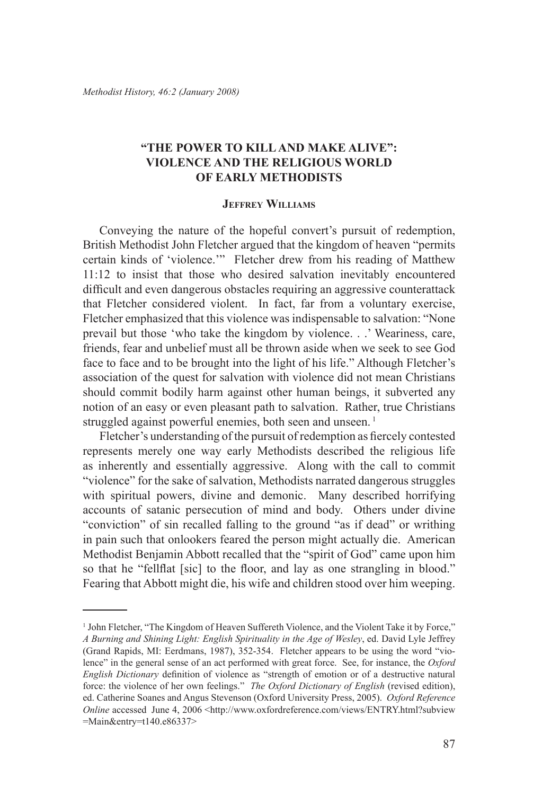# **"The Power to Killand Make Alive": Violence and the Religious World of Early Methodists**

#### **Jeffrey Williams**

Conveying the nature of the hopeful convert's pursuit of redemption, British Methodist John Fletcher argued that the kingdom of heaven "permits certain kinds of 'violence.'" Fletcher drew from his reading of Matthew 11:12 to insist that those who desired salvation inevitably encountered difficult and even dangerous obstacles requiring an aggressive counterattack that Fletcher considered violent. In fact, far from a voluntary exercise, Fletcher emphasized that this violence was indispensable to salvation: "None prevail but those 'who take the kingdom by violence. . .' Weariness, care, friends, fear and unbelief must all be thrown aside when we seek to see God face to face and to be brought into the light of his life." Although Fletcher's association of the quest for salvation with violence did not mean Christians should commit bodily harm against other human beings, it subverted any notion of an easy or even pleasant path to salvation. Rather, true Christians struggled against powerful enemies, both seen and unseen.<sup>1</sup>

Fletcher's understanding of the pursuit of redemption as fiercely contested represents merely one way early Methodists described the religious life as inherently and essentially aggressive. Along with the call to commit "violence" for the sake of salvation, Methodists narrated dangerous struggles with spiritual powers, divine and demonic. Many described horrifying accounts of satanic persecution of mind and body. Others under divine "conviction" of sin recalled falling to the ground "as if dead" or writhing in pain such that onlookers feared the person might actually die. American Methodist Benjamin Abbott recalled that the "spirit of God" came upon him so that he "fellflat [sic] to the floor, and lay as one strangling in blood." Fearing that Abbott might die, his wife and children stood over him weeping.

<sup>&</sup>lt;sup>1</sup> John Fletcher, "The Kingdom of Heaven Suffereth Violence, and the Violent Take it by Force," *A Burning and Shining Light: English Spirituality in the Age of Wesley*, ed. David Lyle Jeffrey (Grand Rapids, MI: Eerdmans, 1987), 352-354. Fletcher appears to be using the word "violence" in the general sense of an act performed with great force. See, for instance, the *Oxford English Dictionary* definition of violence as "strength of emotion or of a destructive natural force: the violence of her own feelings." *The Oxford Dictionary of English* (revised edition), ed. Catherine Soanes and Angus Stevenson (Oxford University Press, 2005). *Oxford Reference Online* accessed June 4, 2006 <http://www.oxfordreference.com/views/ENTRY.html?subview =Main&entry=t140.e86337>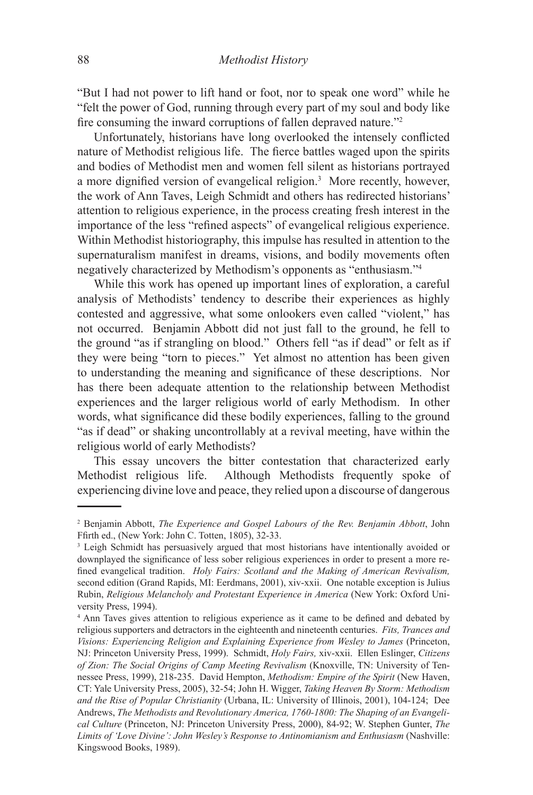"But I had not power to lift hand or foot, nor to speak one word" while he "felt the power of God, running through every part of my soul and body like fire consuming the inward corruptions of fallen depraved nature."<sup>2</sup>

Unfortunately, historians have long overlooked the intensely conflicted nature of Methodist religious life. The fierce battles waged upon the spirits and bodies of Methodist men and women fell silent as historians portrayed a more dignified version of evangelical religion.<sup>3</sup> More recently, however, the work of Ann Taves, Leigh Schmidt and others has redirected historians' attention to religious experience, in the process creating fresh interest in the importance of the less "refined aspects" of evangelical religious experience. Within Methodist historiography, this impulse has resulted in attention to the supernaturalism manifest in dreams, visions, and bodily movements often negatively characterized by Methodism's opponents as "enthusiasm."4

While this work has opened up important lines of exploration, a careful analysis of Methodists' tendency to describe their experiences as highly contested and aggressive, what some onlookers even called "violent," has not occurred. Benjamin Abbott did not just fall to the ground, he fell to the ground "as if strangling on blood." Others fell "as if dead" or felt as if they were being "torn to pieces." Yet almost no attention has been given to understanding the meaning and significance of these descriptions. Nor has there been adequate attention to the relationship between Methodist experiences and the larger religious world of early Methodism. In other words, what significance did these bodily experiences, falling to the ground "as if dead" or shaking uncontrollably at a revival meeting, have within the religious world of early Methodists?

This essay uncovers the bitter contestation that characterized early Methodist religious life. Although Methodists frequently spoke of experiencing divine love and peace, they relied upon a discourse of dangerous

<sup>2</sup> Benjamin Abbott, *The Experience and Gospel Labours of the Rev. Benjamin Abbott*, John Ffirth ed., (New York: John C. Totten, 1805), 32-33.

<sup>&</sup>lt;sup>3</sup> Leigh Schmidt has persuasively argued that most historians have intentionally avoided or downplayed the significance of less sober religious experiences in order to present a more refined evangelical tradition. *Holy Fairs: Scotland and the Making of American Revivalism,* second edition (Grand Rapids, MI: Eerdmans, 2001), xiv-xxii. One notable exception is Julius Rubin, *Religious Melancholy and Protestant Experience in America* (New York: Oxford University Press, 1994).

<sup>4</sup> Ann Taves gives attention to religious experience as it came to be defined and debated by religious supporters and detractors in the eighteenth and nineteenth centuries. *Fits, Trances and*  Visions: Experiencing Religion and Explaining Experience from Wesley to James (Princeton, NJ: Princeton University Press, 1999). Schmidt, *Holy Fairs,* xiv-xxii. Ellen Eslinger, *Citizens of Zion: The Social Origins of Camp Meeting Revivalism* (Knoxville, TN: University of Tennessee Press, 1999), 218-235. David Hempton, *Methodism: Empire of the Spirit* (New Haven, CT: Yale University Press, 2005), 32-54; John H. Wigger, *Taking Heaven By Storm: Methodism and the Rise of Popular Christianity* (Urbana, IL: University of Illinois, 2001), 104-124; Dee Andrews, *The Methodists and Revolutionary America, 1760-1800: The Shaping of an Evangelical Culture* (Princeton, NJ: Princeton University Press, 2000), 84-92; W. Stephen Gunter, *The Limits of 'Love Divine': John Wesley's Response to Antinomianism and Enthusiasm* (Nashville: Kingswood Books, 1989).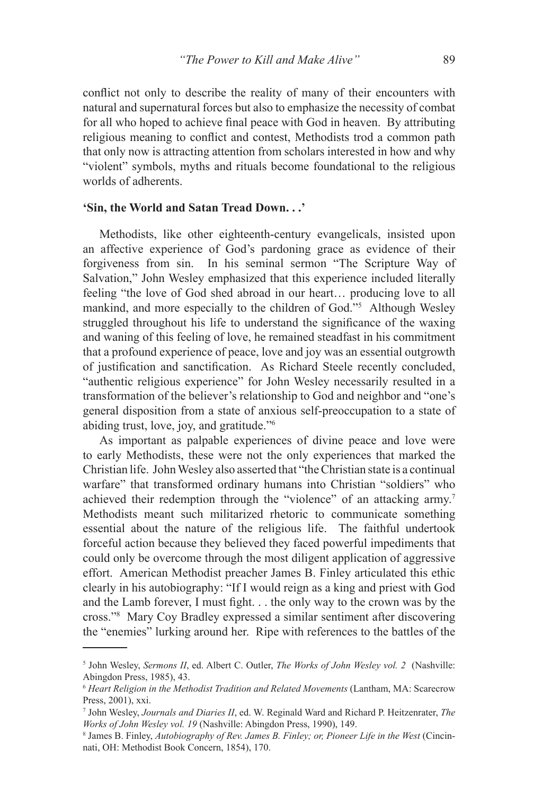conflict not only to describe the reality of many of their encounters with natural and supernatural forces but also to emphasize the necessity of combat for all who hoped to achieve final peace with God in heaven. By attributing religious meaning to conflict and contest, Methodists trod a common path that only now is attracting attention from scholars interested in how and why "violent" symbols, myths and rituals become foundational to the religious worlds of adherents.

## **'Sin, the World and Satan Tread Down. . .'**

Methodists, like other eighteenth-century evangelicals, insisted upon an affective experience of God's pardoning grace as evidence of their forgiveness from sin. In his seminal sermon "The Scripture Way of Salvation," John Wesley emphasized that this experience included literally feeling "the love of God shed abroad in our heart… producing love to all mankind, and more especially to the children of God."<sup>5</sup> Although Wesley struggled throughout his life to understand the significance of the waxing and waning of this feeling of love, he remained steadfast in his commitment that a profound experience of peace, love and joy was an essential outgrowth of justification and sanctification. As Richard Steele recently concluded, "authentic religious experience" for John Wesley necessarily resulted in a transformation of the believer's relationship to God and neighbor and "one's general disposition from a state of anxious self-preoccupation to a state of abiding trust, love, joy, and gratitude."6

As important as palpable experiences of divine peace and love were to early Methodists, these were not the only experiences that marked the Christian life. John Wesley also asserted that "the Christian state is a continual warfare" that transformed ordinary humans into Christian "soldiers" who achieved their redemption through the "violence" of an attacking army.<sup>7</sup> Methodists meant such militarized rhetoric to communicate something essential about the nature of the religious life. The faithful undertook forceful action because they believed they faced powerful impediments that could only be overcome through the most diligent application of aggressive effort. American Methodist preacher James B. Finley articulated this ethic clearly in his autobiography: "If I would reign as a king and priest with God and the Lamb forever, I must fight. . . the only way to the crown was by the cross."8 Mary Coy Bradley expressed a similar sentiment after discovering the "enemies" lurking around her. Ripe with references to the battles of the

<sup>5</sup> John Wesley, *Sermons II*, ed. Albert C. Outler, *The Works of John Wesley vol. 2* (Nashville: Abingdon Press, 1985), 43.

<sup>6</sup> *Heart Religion in the Methodist Tradition and Related Movements* (Lantham, MA: Scarecrow Press, 2001), xxi.

<sup>7</sup> John Wesley, *Journals and Diaries II*, ed. W. Reginald Ward and Richard P. Heitzenrater, *The*  Works of John Wesley vol. 19 (Nashville: Abingdon Press, 1990), 149.

James B. Finley, *Autobiography of Rev. James B. Finley; or, Pioneer Life in the West* (Cincinnati, OH: Methodist Book Concern, 1854), 170.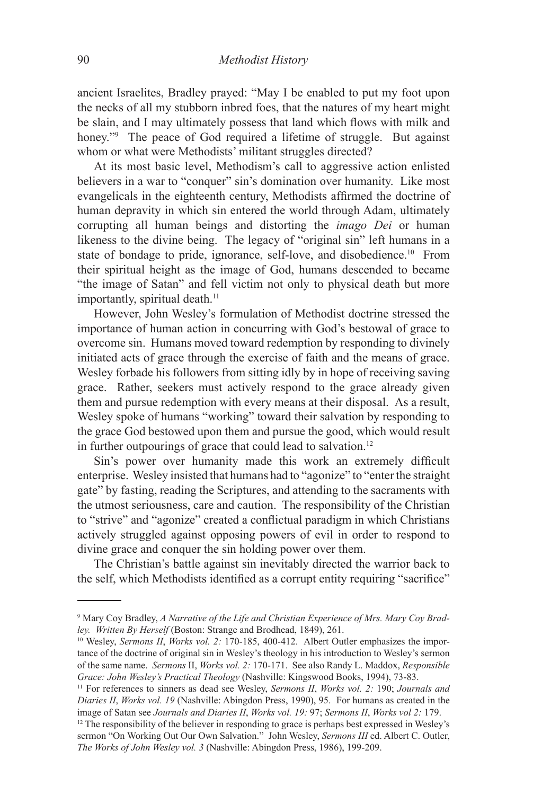ancient Israelites, Bradley prayed: "May I be enabled to put my foot upon the necks of all my stubborn inbred foes, that the natures of my heart might be slain, and I may ultimately possess that land which flows with milk and honey."<sup>9</sup> The peace of God required a lifetime of struggle. But against whom or what were Methodists' militant struggles directed?

At its most basic level, Methodism's call to aggressive action enlisted believers in a war to "conquer" sin's domination over humanity. Like most evangelicals in the eighteenth century, Methodists affirmed the doctrine of human depravity in which sin entered the world through Adam, ultimately corrupting all human beings and distorting the *imago Dei* or human likeness to the divine being. The legacy of "original sin" left humans in a state of bondage to pride, ignorance, self-love, and disobedience.10 From their spiritual height as the image of God, humans descended to became "the image of Satan" and fell victim not only to physical death but more importantly, spiritual death.<sup>11</sup>

However, John Wesley's formulation of Methodist doctrine stressed the importance of human action in concurring with God's bestowal of grace to overcome sin. Humans moved toward redemption by responding to divinely initiated acts of grace through the exercise of faith and the means of grace. Wesley forbade his followers from sitting idly by in hope of receiving saving grace. Rather, seekers must actively respond to the grace already given them and pursue redemption with every means at their disposal.As a result, Wesley spoke of humans "working" toward their salvation by responding to the grace God bestowed upon them and pursue the good, which would result in further outpourings of grace that could lead to salvation.<sup>12</sup>

Sin's power over humanity made this work an extremely difficult enterprise. Wesley insisted that humans had to "agonize" to "enter the straight gate" by fasting, reading the Scriptures, and attending to the sacraments with the utmost seriousness, care and caution. The responsibility of the Christian to "strive" and "agonize" created a conflictual paradigm in which Christians actively struggled against opposing powers of evil in order to respond to divine grace and conquer the sin holding power over them.

The Christian's battle against sin inevitably directed the warrior back to the self, which Methodists identified as a corrupt entity requiring "sacrifice"

<sup>9</sup> Mary Coy Bradley, *A Narrative of the Life and Christian Experience of Mrs. Mary Coy Bradley. Written By Herself* (Boston: Strange and Brodhead, 1849), 261.

<sup>&</sup>lt;sup>10</sup> Wesley, *Sermons II, Works vol. 2:* 170-185, 400-412. Albert Outler emphasizes the importance of the doctrine of original sin in Wesley's theology in his introduction to Wesley's sermon of the same name. *Sermons* II, *Works vol. 2:* 170-171. See also Randy L. Maddox, *Responsible Grace: John Wesley's Practical Theology* (Nashville: Kingswood Books, 1994), 73-83.

<sup>11</sup> For references to sinners as dead see Wesley, *Sermons II*, *Works vol. 2:* 190; *Journals and Diaries II*, *Works vol. 19* (Nashville: Abingdon Press, 1990), 95. For humans as created in the image of Satan see *Journals and Diaries II*, *Works vol. 19:* 97; *Sermons II*, *Works vol 2:* 179.

<sup>&</sup>lt;sup>12</sup> The responsibility of the believer in responding to grace is perhaps best expressed in Wesley's sermon "On Working Out Our Own Salvation." John Wesley, *Sermons III* ed. Albert C. Outler, *The Works of John Wesley vol. 3* (Nashville: Abingdon Press, 1986), 199-209.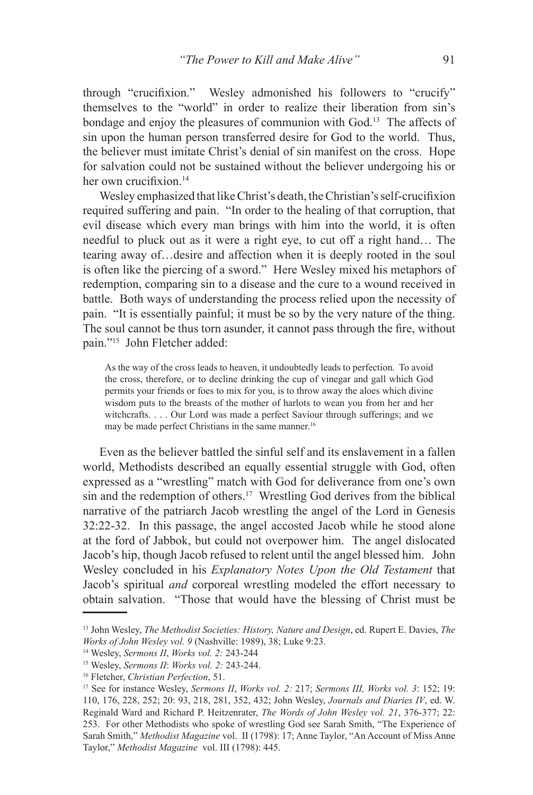through "crucifixion." Wesley admonished his followers to "crucify" themselves to the "world" in order to realize their liberation from sin's bondage and enjoy the pleasures of communion with God.13 The affects of sin upon the human person transferred desire for God to the world. Thus, the believer must imitate Christ's denial of sin manifest on the cross. Hope for salvation could not be sustained without the believer undergoing his or her own crucifixion.<sup>14</sup>

Wesley emphasized that like Christ's death, the Christian's self-crucifixion required suffering and pain. "In order to the healing of that corruption, that evil disease which every man brings with him into the world, it is often needful to pluck out as it were a right eye, to cut off a right hand… The tearing away of…desire and affection when it is deeply rooted in the soul is often like the piercing of a sword." Here Wesley mixed his metaphors of redemption, comparing sin to a disease and the cure to a wound received in battle. Both ways of understanding the process relied upon the necessity of pain. "It is essentially painful; it must be so by the very nature of the thing. The soul cannot be thus torn asunder, it cannot pass through the fire, without pain."15 John Fletcher added:

As the way of the cross leads to heaven, it undoubtedly leads to perfection. To avoid the cross, therefore, or to decline drinking the cup of vinegar and gall which God permits your friends or foes to mix for you, is to throw away the aloes which divine wisdom puts to the breasts of the mother of harlots to wean you from her and her witchcrafts. . . . Our Lord was made a perfect Saviour through sufferings; and we may be made perfect Christians in the same manner.<sup>16</sup>

Even as the believer battled the sinful self and its enslavement in a fallen world, Methodists described an equally essential struggle with God, often expressed as a "wrestling" match with God for deliverance from one's own sin and the redemption of others.17 Wrestling God derives from the biblical narrative of the patriarch Jacob wrestling the angel of the Lord in Genesis 32:22-32. In this passage, the angel accosted Jacob while he stood alone at the ford of Jabbok, but could not overpower him. The angel dislocated Jacob's hip, though Jacob refused to relent until the angel blessed him. John Wesley concluded in his *Explanatory Notes Upon the Old Testament* that Jacob's spiritual *and* corporeal wrestling modeled the effort necessary to obtain salvation. "Those that would have the blessing of Christ must be

<sup>13</sup> John Wesley, *The Methodist Societies: History, Nature and Design*, ed. Rupert E. Davies, *The Works of John Wesley vol. 9* (Nashville: 1989), 38; Luke 9:23.

<sup>14</sup> Wesley, *Sermons II*, *Works vol. 2:* 243-244

<sup>15</sup> Wesley, *Sermons II*: *Works vol. 2:* 243-244.

<sup>16</sup> Fletcher, *Christian Perfection*, 51.

<sup>17</sup> See for instance Wesley, *Sermons II*, *Works vol. 2:* 217; *Sermons III, Works vol. 3*: 152; 19: 110, 176, 228, 252; 20: 93, 218, 281, 352, 432; John Wesley, *Journals and Diaries IV*, ed. W. Reginald Ward and Richard P. Heitzenrater, *The Words of John Wesley vol. 21*, 376-377; 22: 253. For other Methodists who spoke of wrestling God see Sarah Smith, "The Experience of Sarah Smith," *Methodist Magazine* vol. II (1798): 17; Anne Taylor, "An Account of Miss Anne Taylor," *Methodist Magazine* vol. III (1798): 445.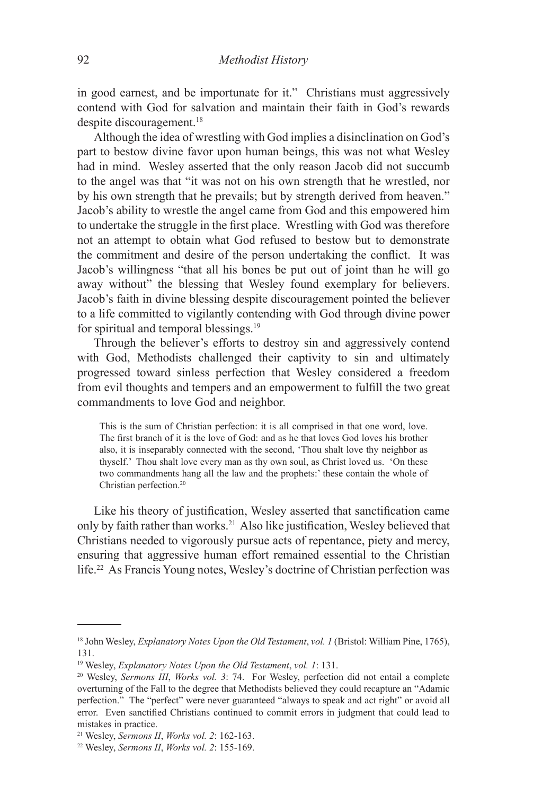in good earnest, and be importunate for it." Christians must aggressively contend with God for salvation and maintain their faith in God's rewards despite discouragement.<sup>18</sup>

Although the idea of wrestling with God implies a disinclination on God's part to bestow divine favor upon human beings, this was not what Wesley had in mind. Wesley asserted that the only reason Jacob did not succumb to the angel was that "it was not on his own strength that he wrestled, nor by his own strength that he prevails; but by strength derived from heaven." Jacob's ability to wrestle the angel came from God and this empowered him to undertake the struggle in the first place. Wrestling with God was therefore not an attempt to obtain what God refused to bestow but to demonstrate the commitment and desire of the person undertaking the conflict. It was Jacob's willingness "that all his bones be put out of joint than he will go away without" the blessing that Wesley found exemplary for believers. Jacob's faith in divine blessing despite discouragement pointed the believer to a life committed to vigilantly contending with God through divine power for spiritual and temporal blessings.19

Through the believer's efforts to destroy sin and aggressively contend with God, Methodists challenged their captivity to sin and ultimately progressed toward sinless perfection that Wesley considered a freedom from evil thoughts and tempers and an empowerment to fulfill the two great commandments to love God and neighbor.

This is the sum of Christian perfection: it is all comprised in that one word, love. The first branch of it is the love of God: and as he that loves God loves his brother also, it is inseparably connected with the second, 'Thou shalt love thy neighbor as thyself.' Thou shalt love every man as thy own soul, as Christ loved us. 'On these two commandments hang all the law and the prophets:' these contain the whole of Christian perfection.<sup>20</sup>

Like his theory of justification, Wesley asserted that sanctification came only by faith rather than works.21 Also like justification, Wesley believed that Christians needed to vigorously pursue acts of repentance, piety and mercy, ensuring that aggressive human effort remained essential to the Christian life.22 As Francis Young notes, Wesley's doctrine of Christian perfection was

<sup>&</sup>lt;sup>18</sup> John Wesley, *Explanatory Notes Upon the Old Testament*, *vol. 1* (Bristol: William Pine, 1765), 131.

<sup>19</sup> Wesley, *Explanatory Notes Upon the Old Testament*, *vol. 1*: 131.

<sup>20</sup> Wesley, *Sermons III*, *Works vol. 3*: 74. For Wesley, perfection did not entail a complete overturning of the Fall to the degree that Methodists believed they could recapture an "Adamic perfection." The "perfect" were never guaranteed "always to speak and act right" or avoid all error. Even sanctified Christians continued to commit errors in judgment that could lead to mistakes in practice.

<sup>21</sup> Wesley, *Sermons II*, *Works vol. 2*: 162-163.

<sup>22</sup> Wesley, *Sermons II*, *Works vol. 2*: 155-169.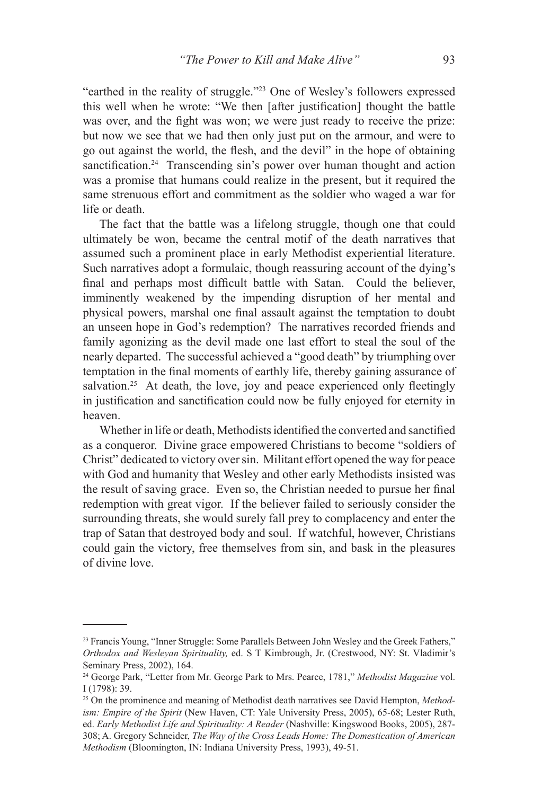"earthed in the reality of struggle."23 One of Wesley's followers expressed this well when he wrote: "We then [after justification] thought the battle was over, and the fight was won; we were just ready to receive the prize: but now we see that we had then only just put on the armour, and were to go out against the world, the flesh, and the devil" in the hope of obtaining sanctification.<sup>24</sup> Transcending sin's power over human thought and action was a promise that humans could realize in the present, but it required the same strenuous effort and commitment as the soldier who waged a war for life or death

The fact that the battle was a lifelong struggle, though one that could ultimately be won, became the central motif of the death narratives that assumed such a prominent place in early Methodist experiential literature. Such narratives adopt a formulaic, though reassuring account of the dying's final and perhaps most difficult battle with Satan. Could the believer, imminently weakened by the impending disruption of her mental and physical powers, marshal one final assault against the temptation to doubt an unseen hope in God's redemption? The narratives recorded friends and family agonizing as the devil made one last effort to steal the soul of the nearly departed. The successful achieved a "good death" by triumphing over temptation in the final moments of earthly life, thereby gaining assurance of salvation.<sup>25</sup> At death, the love, joy and peace experienced only fleetingly in justification and sanctification could now be fully enjoyed for eternity in heaven.

Whether in life or death, Methodists identified the converted and sanctified as a conqueror. Divine grace empowered Christians to become "soldiers of Christ" dedicated to victory over sin. Militant effort opened the way for peace with God and humanity that Wesley and other early Methodists insisted was the result of saving grace. Even so, the Christian needed to pursue her final redemption with great vigor. If the believer failed to seriously consider the surrounding threats, she would surely fall prey to complacency and enter the trap of Satan that destroyed body and soul. If watchful, however, Christians could gain the victory, free themselves from sin, and bask in the pleasures of divine love.

<sup>&</sup>lt;sup>23</sup> Francis Young, "Inner Struggle: Some Parallels Between John Wesley and the Greek Fathers," *Orthodox and Wesleyan Spirituality,* ed. S T Kimbrough, Jr. (Crestwood, NY: St. Vladimir's Seminary Press, 2002), 164.

<sup>24</sup> George Park, "Letter from Mr. George Park to Mrs. Pearce, 1781," *Methodist Magazine* vol. I (1798): 39.

<sup>25</sup> On the prominence and meaning of Methodist death narratives see David Hempton, *Methodism: Empire of the Spirit* (New Haven, CT: Yale University Press, 2005), 65-68; Lester Ruth, ed. *Early Methodist Life and Spirituality: A Reader* (Nashville: Kingswood Books, 2005), 287-308; A. Gregory Schneider, *The Way of the Cross Leads Home: The Domestication of American Methodism* (Bloomington, IN: Indiana University Press, 1993), 49-51.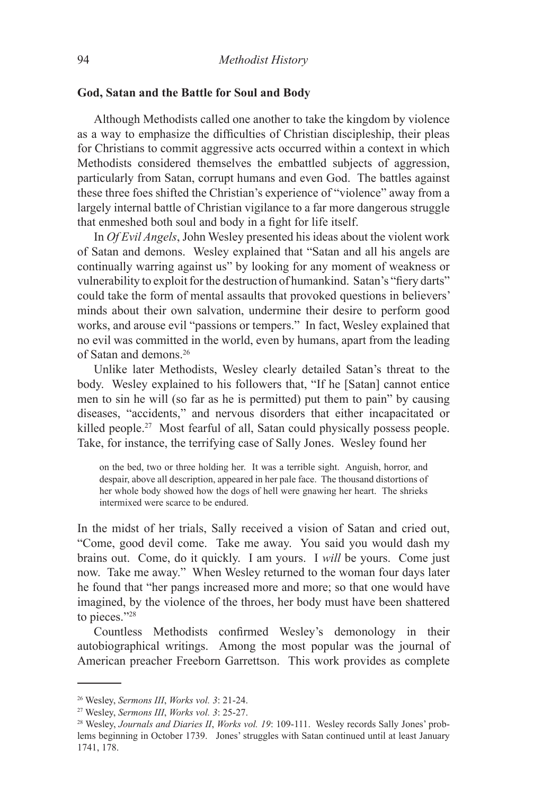### **God, Satan and the Battle for Soul and Body**

Although Methodists called one another to take the kingdom by violence as a way to emphasize the difficulties of Christian discipleship, their pleas for Christians to commit aggressive acts occurred within a context in which Methodists considered themselves the embattled subjects of aggression, particularly from Satan, corrupt humans and even God. The battles against these three foes shifted the Christian's experience of "violence" away from a largely internal battle of Christian vigilance to a far more dangerous struggle that enmeshed both soul and body in a fight for life itself.

In *Of Evil Angels*, John Wesley presented his ideas about the violent work of Satan and demons. Wesley explained that "Satan and all his angels are continually warring against us" by looking for any moment of weakness or vulnerability to exploit for the destruction of humankind. Satan's "fiery darts" could take the form of mental assaults that provoked questions in believers' minds about their own salvation, undermine their desire to perform good works, and arouse evil "passions or tempers." In fact, Wesley explained that no evil was committed in the world, even by humans, apart from the leading of Satan and demons.26

Unlike later Methodists, Wesley clearly detailed Satan's threat to the body. Wesley explained to his followers that, "If he [Satan] cannot entice men to sin he will (so far as he is permitted) put them to pain" by causing diseases, "accidents," and nervous disorders that either incapacitated or killed people.<sup>27</sup> Most fearful of all, Satan could physically possess people. Take, for instance, the terrifying case of Sally Jones. Wesley found her

on the bed, two or three holding her. It was a terrible sight. Anguish, horror, and despair, above all description, appeared in her pale face. The thousand distortions of her whole body showed how the dogs of hell were gnawing her heart. The shrieks intermixed were scarce to be endured.

In the midst of her trials, Sally received a vision of Satan and cried out, "Come, good devil come. Take me away. You said you would dash my brains out. Come, do it quickly. I am yours. I *will* be yours. Come just now. Take me away." When Wesley returned to the woman four days later he found that "her pangs increased more and more; so that one would have imagined, by the violence of the throes, her body must have been shattered to pieces."28

Countless Methodists confirmed Wesley's demonology in their autobiographical writings. Among the most popular was the journal of American preacher Freeborn Garrettson. This work provides as complete

<sup>26</sup> Wesley, *Sermons III*, *Works vol. 3*: 21-24.

<sup>27</sup> Wesley, *Sermons III*, *Works vol. 3*: 25-27.

<sup>28</sup> Wesley, *Journals and Diaries II*, *Works vol. 19*: 109-111. Wesley records Sally Jones' problems beginning in October 1739. Jones' struggles with Satan continued until at least January 1741, 178.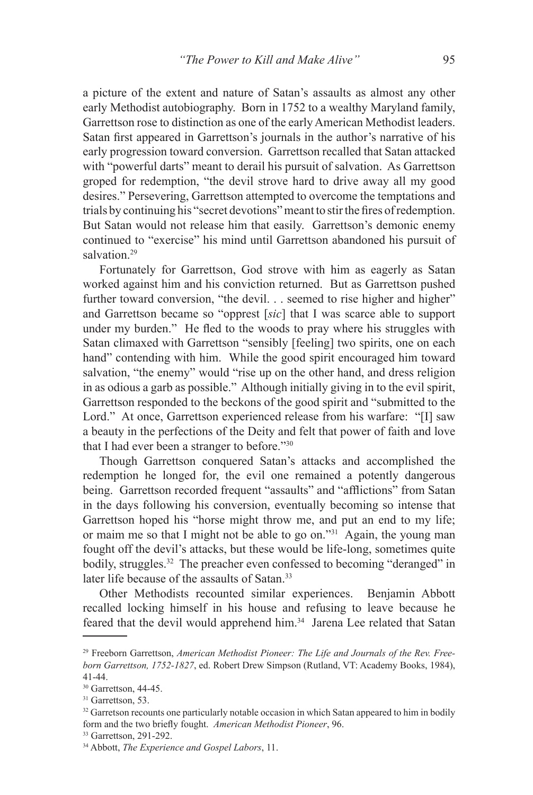a picture of the extent and nature of Satan's assaults as almost any other early Methodist autobiography. Born in 1752 to a wealthy Maryland family, Garrettson rose to distinction as one of the early American Methodist leaders. Satan first appeared in Garrettson's journals in the author's narrative of his early progression toward conversion. Garrettson recalled that Satan attacked with "powerful darts" meant to derail his pursuit of salvation. As Garrettson groped for redemption, "the devil strove hard to drive away all my good desires." Persevering, Garrettson attempted to overcome the temptations and trials by continuing his "secret devotions" meant to stir the fires of redemption. But Satan would not release him that easily. Garrettson's demonic enemy continued to "exercise" his mind until Garrettson abandoned his pursuit of salvation<sup>29</sup>

Fortunately for Garrettson, God strove with him as eagerly as Satan worked against him and his conviction returned. But as Garrettson pushed further toward conversion, "the devil. . . seemed to rise higher and higher" and Garrettson became so "opprest [*sic*] that I was scarce able to support under my burden." He fled to the woods to pray where his struggles with Satan climaxed with Garrettson "sensibly [feeling] two spirits, one on each hand" contending with him. While the good spirit encouraged him toward salvation, "the enemy" would "rise up on the other hand, and dress religion in as odious a garb as possible." Although initially giving in to the evil spirit, Garrettson responded to the beckons of the good spirit and "submitted to the Lord." At once, Garrettson experienced release from his warfare: "[I] saw a beauty in the perfections of the Deity and felt that power of faith and love that I had ever been a stranger to before."30

Though Garrettson conquered Satan's attacks and accomplished the redemption he longed for, the evil one remained a potently dangerous being. Garrettson recorded frequent "assaults" and "afflictions" from Satan in the days following his conversion, eventually becoming so intense that Garrettson hoped his "horse might throw me, and put an end to my life; or maim me so that I might not be able to go on."31 Again, the young man fought off the devil's attacks, but these would be life-long, sometimes quite bodily, struggles.<sup>32</sup> The preacher even confessed to becoming "deranged" in later life because of the assaults of Satan.<sup>33</sup>

Other Methodists recounted similar experiences. Benjamin Abbott recalled locking himself in his house and refusing to leave because he feared that the devil would apprehend him.34 Jarena Lee related that Satan

<sup>29</sup> Freeborn Garrettson, *American Methodist Pioneer: The Life and Journals of the Rev. Freeborn Garrettson, 1752-1827*, ed. Robert Drew Simpson (Rutland, VT: Academy Books, 1984), 41-44.

<sup>30</sup> Garrettson, 44-45.

<sup>&</sup>lt;sup>31</sup> Garrettson, 53.

<sup>&</sup>lt;sup>32</sup> Garretson recounts one particularly notable occasion in which Satan appeared to him in bodily form and the two briefly fought. *American Methodist Pioneer*, 96. 33 Garrettson, 291-292.

<sup>34</sup> Abbott, *The Experience and Gospel Labors*, 11.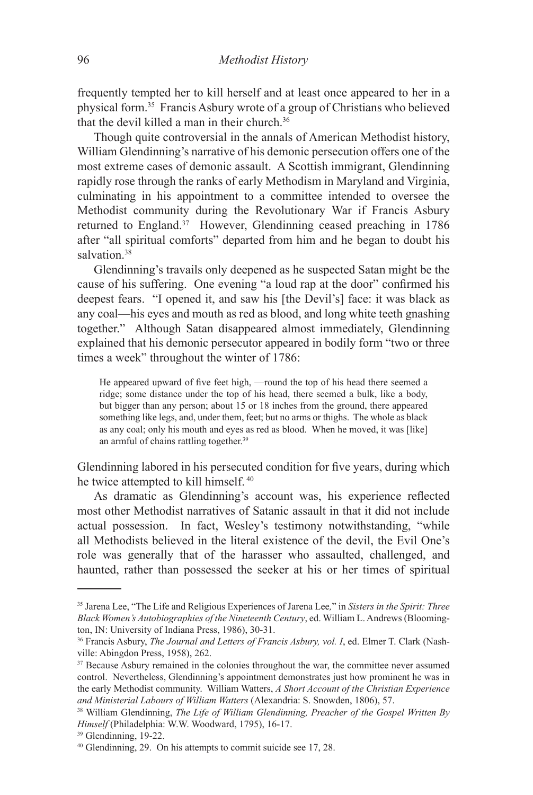frequently tempted her to kill herself and at least once appeared to her in a physical form.35 Francis Asbury wrote of a group of Christians who believed that the devil killed a man in their church.36

Though quite controversial in the annals of American Methodist history, William Glendinning's narrative of his demonic persecution offers one of the most extreme cases of demonic assault. A Scottish immigrant, Glendinning rapidly rose through the ranks of early Methodism in Maryland and Virginia, culminating in his appointment to a committee intended to oversee the Methodist community during the Revolutionary War if Francis Asbury returned to England.37 However, Glendinning ceased preaching in 1786 after "all spiritual comforts" departed from him and he began to doubt his salvation<sup>38</sup>

Glendinning's travails only deepened as he suspected Satan might be the cause of his suffering. One evening "a loud rap at the door" confirmed his deepest fears. "I opened it, and saw his [the Devil's] face: it was black as any coal—his eyes and mouth as red as blood, and long white teeth gnashing together." Although Satan disappeared almost immediately, Glendinning explained that his demonic persecutor appeared in bodily form "two or three times a week" throughout the winter of 1786:

He appeared upward of five feet high, —round the top of his head there seemed a ridge; some distance under the top of his head, there seemed a bulk, like a body, but bigger than any person; about 15 or 18 inches from the ground, there appeared something like legs, and, under them, feet; but no arms or thighs. The whole as black as any coal; only his mouth and eyes as red as blood. When he moved, it was [like] an armful of chains rattling together.<sup>39</sup>

Glendinning labored in his persecuted condition for five years, during which he twice attempted to kill himself. 40

As dramatic as Glendinning's account was, his experience reflected most other Methodist narratives of Satanic assault in that it did not include actual possession. In fact, Wesley's testimony notwithstanding, "while all Methodists believed in the literal existence of the devil, the Evil One's role was generally that of the harasser who assaulted, challenged, and haunted, rather than possessed the seeker at his or her times of spiritual

<sup>35</sup> Jarena Lee, "The Life and Religious Experiences of Jarena Lee*,*" in *Sisters in the Spirit: Three Black Women's Autobiographies of the Nineteenth Century*, ed. William L. Andrews (Bloomington, IN: University of Indiana Press, 1986), 30-31.

<sup>36</sup> Francis Asbury, *The Journal and Letters of Francis Asbury, vol. I*, ed. Elmer T. Clark (Nashville: Abingdon Press, 1958), 262.

<sup>&</sup>lt;sup>37</sup> Because Asbury remained in the colonies throughout the war, the committee never assumed control. Nevertheless, Glendinning's appointment demonstrates just how prominent he was in the early Methodist community. William Watters, *A Short Account of the Christian Experience and Ministerial Labours of William Watters* (Alexandria: S. Snowden, 1806), 57.

<sup>38</sup> William Glendinning, *The Life of William Glendinning, Preacher of the Gospel Written By Himself* (Philadelphia: W.W. Woodward, 1795), 16-17.

<sup>39</sup> Glendinning, 19-22.

<sup>40</sup> Glendinning, 29. On his attempts to commit suicide see 17, 28.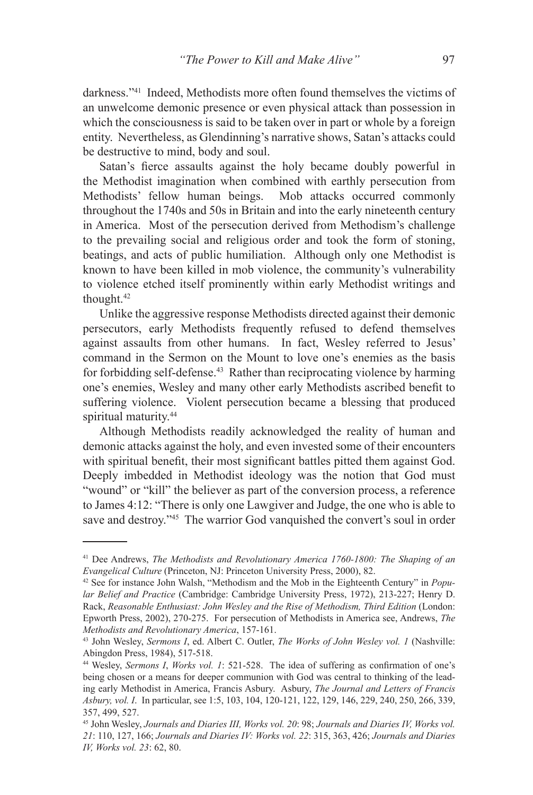darkness."41 Indeed, Methodists more often found themselves the victims of an unwelcome demonic presence or even physical attack than possession in which the consciousness is said to be taken over in part or whole by a foreign entity. Nevertheless, as Glendinning's narrative shows, Satan's attacks could be destructive to mind, body and soul.

Satan's fierce assaults against the holy became doubly powerful in the Methodist imagination when combined with earthly persecution from Methodists' fellow human beings. Mob attacks occurred commonly throughout the 1740s and 50s in Britain and into the early nineteenth century in America. Most of the persecution derived from Methodism's challenge to the prevailing social and religious order and took the form of stoning, beatings, and acts of public humiliation. Although only one Methodist is known to have been killed in mob violence, the community's vulnerability to violence etched itself prominently within early Methodist writings and thought.42

Unlike the aggressive response Methodists directed against their demonic persecutors, early Methodists frequently refused to defend themselves against assaults from other humans. In fact, Wesley referred to Jesus' command in the Sermon on the Mount to love one's enemies as the basis for forbidding self-defense.<sup>43</sup> Rather than reciprocating violence by harming one's enemies, Wesley and many other early Methodists ascribed benefit to suffering violence. Violent persecution became a blessing that produced spiritual maturity.<sup>44</sup>

Although Methodists readily acknowledged the reality of human and demonic attacks against the holy, and even invested some of their encounters with spiritual benefit, their most significant battles pitted them against God. Deeply imbedded in Methodist ideology was the notion that God must "wound" or "kill" the believer as part of the conversion process, a reference to James 4:12: "There is only one Lawgiver and Judge, the one who is able to save and destroy."45 The warrior God vanquished the convert's soul in order

<sup>41</sup> Dee Andrews, *The Methodists and Revolutionary America 1760-1800: The Shaping of an Evangelical Culture* (Princeton, NJ: Princeton University Press, 2000), 82.

<sup>42</sup> See for instance John Walsh, "Methodism and the Mob in the Eighteenth Century" in *Popular Belief and Practice* (Cambridge: Cambridge University Press, 1972), 213-227; Henry D. Rack, *Reasonable Enthusiast: John Wesley and the Rise of Methodism, Third Edition* (London: Epworth Press, 2002), 270-275. For persecution of Methodists in America see, Andrews, *The Methodists and Revolutionary America*, 157-161.

<sup>43</sup> John Wesley, *Sermons I*, ed. Albert C. Outler, *The Works of John Wesley vol. 1* (Nashville: Abingdon Press, 1984), 517-518.

<sup>44</sup> Wesley, *Sermons I*, *Works vol. 1*: 521-528. The idea of suffering as confirmation of one's being chosen or a means for deeper communion with God was central to thinking of the leading early Methodist in America, Francis Asbury. Asbury, *The Journal and Letters of Francis Asbury, vol. I*. In particular, see 1:5, 103, 104, 120-121, 122, 129, 146, 229, 240, 250, 266, 339, 357, 499, 527.

<sup>45</sup> John Wesley, *Journals and Diaries III, Works vol. 20*: 98; *Journals and Diaries IV, Works vol. 21*: 110, 127, 166; *Journals and Diaries IV: Works vol. 22*: 315, 363, 426; *Journals and Diaries IV, Works vol. 23*: 62, 80.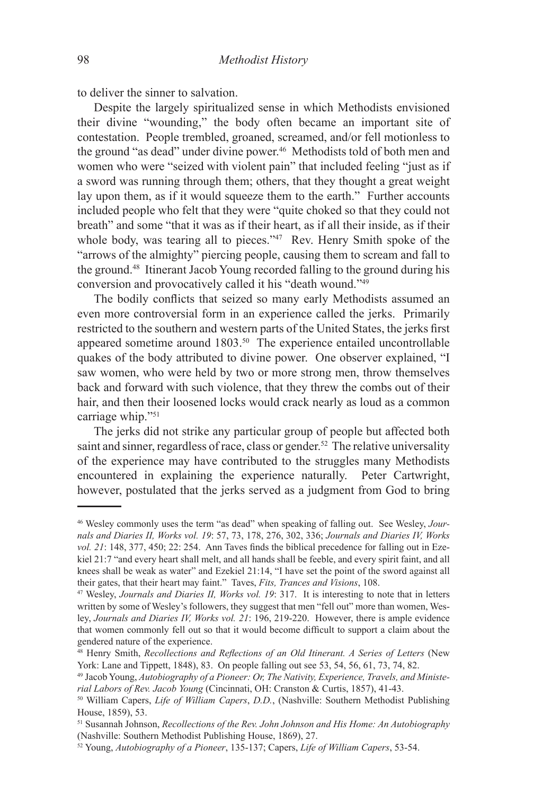to deliver the sinner to salvation.

Despite the largely spiritualized sense in which Methodists envisioned their divine "wounding," the body often became an important site of contestation. People trembled, groaned, screamed, and/or fell motionless to the ground "as dead" under divine power.<sup>46</sup> Methodists told of both men and women who were "seized with violent pain" that included feeling "just as if a sword was running through them; others, that they thought a great weight lay upon them, as if it would squeeze them to the earth." Further accounts included people who felt that they were "quite choked so that they could not breath" and some "that it was as if their heart, as if all their inside, as if their whole body, was tearing all to pieces."<sup>47</sup> Rev. Henry Smith spoke of the "arrows of the almighty" piercing people, causing them to scream and fall to the ground.48 Itinerant Jacob Young recorded falling to the ground during his conversion and provocatively called it his "death wound."49

The bodily conflicts that seized so many early Methodists assumed an even more controversial form in an experience called the jerks. Primarily restricted to the southern and western parts of the United States, the jerks first appeared sometime around 1803.50 The experience entailed uncontrollable quakes of the body attributed to divine power. One observer explained, "I saw women, who were held by two or more strong men, throw themselves back and forward with such violence, that they threw the combs out of their hair, and then their loosened locks would crack nearly as loud as a common carriage whip."51

The jerks did not strike any particular group of people but affected both saint and sinner, regardless of race, class or gender.<sup>52</sup> The relative universality of the experience may have contributed to the struggles many Methodists encountered in explaining the experience naturally. Peter Cartwright, however, postulated that the jerks served as a judgment from God to bring

<sup>46</sup> Wesley commonly uses the term "as dead" when speaking of falling out. See Wesley, *Journals and Diaries II, Works vol. 19*: 57, 73, 178, 276, 302, 336; *Journals and Diaries IV, Works vol. 21*: 148, 377, 450; 22: 254. Ann Taves finds the biblical precedence for falling out in Ezekiel 21:7 "and every heart shall melt, and all hands shall be feeble, and every spirit faint, and all knees shall be weak as water" and Ezekiel 21:14, "I have set the point of the sword against all their gates, that their heart may faint." Taves, *Fits, Trances and Visions*, 108.

<sup>47</sup> Wesley, *Journals and Diaries II, Works vol. 19*: 317. It is interesting to note that in letters written by some of Wesley's followers, they suggest that men "fell out" more than women, Wesley, *Journals and Diaries IV, Works vol. 21*: 196, 219-220. However, there is ample evidence that women commonly fell out so that it would become difficult to support a claim about the gendered nature of the experience.

<sup>48</sup> Henry Smith, *Recollections and Reflections of an Old Itinerant. A Series of Letters* (New York: Lane and Tippett, 1848), 83. On people falling out see 53, 54, 56, 61, 73, 74, 82.

<sup>49</sup> Jacob Young, *Autobiography of a Pioneer: Or, The Nativity, Experience, Travels, and Ministerial Labors of Rev. Jacob Young* (Cincinnati, OH: Cranston & Curtis, 1857), 41-43.

<sup>50</sup> William Capers, *Life of William Capers*, *D.D.*, (Nashville: Southern Methodist Publishing House, 1859), 53.

<sup>51</sup> Susannah Johnson, *Recollections of the Rev. John Johnson and His Home: An Autobiography*  (Nashville: Southern Methodist Publishing House, 1869), 27.

<sup>52</sup> Young, *Autobiography of a Pioneer*, 135-137; Capers, *Life of William Capers*, 53-54.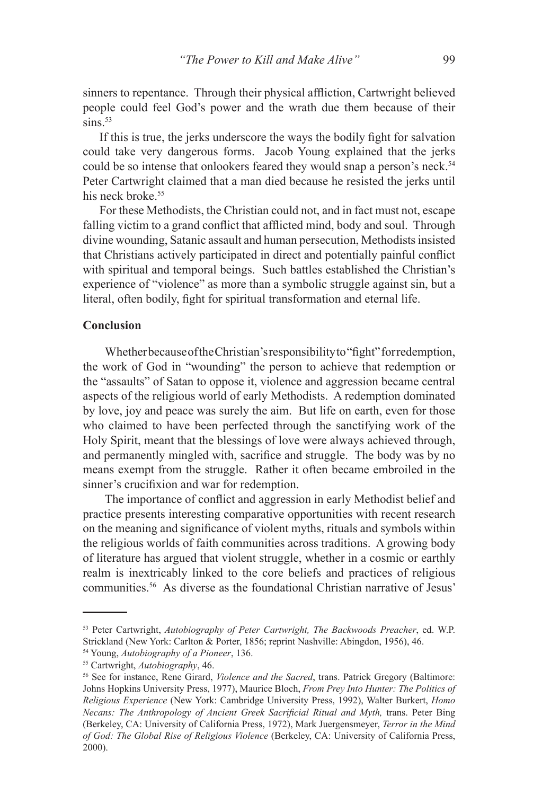sinners to repentance. Through their physical affliction, Cartwright believed people could feel God's power and the wrath due them because of their  $sins$ <sup>53</sup>

If this is true, the jerks underscore the ways the bodily fight for salvation could take very dangerous forms. Jacob Young explained that the jerks could be so intense that onlookers feared they would snap a person's neck.<sup>54</sup> Peter Cartwright claimed that a man died because he resisted the jerks until his neck broke<sup>55</sup>

For these Methodists, the Christian could not, and in fact must not, escape falling victim to a grand conflict that afflicted mind, body and soul. Through divine wounding, Satanic assault and human persecution, Methodists insisted that Christians actively participated in direct and potentially painful conflict with spiritual and temporal beings. Such battles established the Christian's experience of "violence" as more than a symbolic struggle against sin, but a literal, often bodily, fight for spiritual transformation and eternal life.

## **Conclusion**

Whether because of the Christian's responsibility to "fight" for redemption, the work of God in "wounding" the person to achieve that redemption or the "assaults" of Satan to oppose it, violence and aggression became central aspects of the religious world of early Methodists. A redemption dominated by love, joy and peace was surely the aim. But life on earth, even for those who claimed to have been perfected through the sanctifying work of the Holy Spirit, meant that the blessings of love were always achieved through, and permanently mingled with, sacrifice and struggle. The body was by no means exempt from the struggle. Rather it often became embroiled in the sinner's crucifixion and war for redemption.

The importance of conflict and aggression in early Methodist belief and practice presents interesting comparative opportunities with recent research on the meaning and significance of violent myths, rituals and symbols within the religious worlds of faith communities across traditions. A growing body of literature has argued that violent struggle, whether in a cosmic or earthly realm is inextricably linked to the core beliefs and practices of religious communities.56 As diverse as the foundational Christian narrative of Jesus'

<sup>53</sup> Peter Cartwright, *Autobiography of Peter Cartwright, The Backwoods Preacher*, ed. W.P. Strickland (New York: Carlton & Porter, 1856; reprint Nashville: Abingdon, 1956), 46.

<sup>54</sup> Young, *Autobiography of a Pioneer*, 136.

<sup>55</sup> Cartwright, *Autobiography*, 46.

<sup>56</sup> See for instance, Rene Girard, *Violence and the Sacred*, trans. Patrick Gregory (Baltimore: Johns Hopkins University Press, 1977), Maurice Bloch, *From Prey Into Hunter: The Politics of Religious Experience* (New York: Cambridge University Press, 1992), Walter Burkert, *Homo Necans: The Anthropology of Ancient Greek Sacrificial Ritual and Myth, trans. Peter Bing* (Berkeley, CA: University of California Press, 1972), Mark Juergensmeyer, *Terror in the Mind of God: The Global Rise of Religious Violence* (Berkeley, CA: University of California Press, 2000).